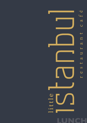





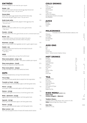# **ENTRÉES**

all entrées available as main meal size upon request

| Kabak - [v]<br>grated zucchini mixed with fresh herbs & eggs deep fried served<br>with garlic yoghurt sauce - four per serve                     | 4    |
|--------------------------------------------------------------------------------------------------------------------------------------------------|------|
| <b>Potato Balls</b><br>Potato, fetta cheese, eggs, breadcrumbs and fresh herbs, deep<br>fried served with garlic yoghurt sauce - four per serve  | 14.5 |
| <b>Kadin budu kofte</b><br>diced mince, rice, parsley & herbs, dipped in fresh eggs & pan frie<br>- four per serve                               | 13.5 |
| Dolma - [v]<br>Preserved vine leaves stuffed with rice, onions, garlic & herbs<br>- 4 per serve                                                  | 13.5 |
| Fasulye - [v] [g]<br>fresh green beans with onion, garlic & herbs served in a tomato based sauce                                                 | 12.0 |
| <b>Borek - [v]</b><br>• Fetta cheese, Parsley and fresh herbs rolled in filo pastry<br>• Lamb mince testy cheese and herbs rolled in filo pastry | 14.5 |
| Kizartma - [v] [g]<br>layers of mixed shallow fried vegetables served in a garlic yoghurt sauce                                                  | 14.5 |
| Falafel - [v]<br>Chickpeas, parsley, herbs fried & served with tabouli, humus &<br>garlic yoghurt sauce<br>- 5 per serve                         | 17.5 |
| <b>MEZE</b><br>including a complementary serving of hot turkish bread                                                                            |      |
| Meze taste platter - [reg] - [v]<br>four dips, two kabak & two borek - extra pieces available upon request                                       | 23.5 |
| Meze taste platter - [med]<br>five dips, two kabak, & two kadin budu kofte                                                                       | 27.5 |
| Meze taste platter - [large]<br>six dips, two kabak, two kadin budu kofte & two borek                                                            | 33.5 |
| <b>DIPS</b><br>including a complementary serving of hot turkish bread                                                                            |      |
| <b>Trio of dips</b><br>your choice of three specialty dips to sample from the range below                                                        | 18.5 |
| Tzatziki or Cacik - [v] [g]<br>cucumber, garlic, mint & homemade yoghurt with fresh garden herbs                                                 | 9.5  |
| <b>Havuc - [v] [g]</b><br>carrot, garlic, mint & homemade yoghurt with fresh garden herbs                                                        | 9.5  |
| <b>Humus - [v] [g]</b>                                                                                                                           | 9.5  |

**Baba – ghanoush - [v] [g]** 9.5 eggplant, garlic & homemade yoghurt with fresh garden herbs

**Ispanak - [v] [g]** 9.5 Spinach, garlic & homemade yoghurt with fresh garden herbs

**Pancar - [v] [g]** 9.5 beetroot, garlic & homemade yoghurt with fresh garden herbs

**Biber ezmesi - [v]** 9.5 fresh chilli, red peppers & olive oil mixed with breadcrumbs & walnuts

### **TEA** English Breakfast 4 Earl Grey 4<br>Chamomile 4 Chamomile 4<br>Green Tea Sencha 4 Green Tea Sencha Apple Tea 4 Lemongrass & Ginger 4<br>ChaiTea 4 Chai Tea anns an t-Iomraid anns an t-Iomraid anns an t-Iomraid anns an t-Iomraid anns an t-Iomraid anns an t-Iomraid anns an t-Iomraid anns an t-Iomraid anns an t-Iomraid anns an t-Iomraid anns an t-Iomraid anns an t-Iomra Peppermint Tea

**KIDS MENU** (AGES 0-13) **Chips [V,G]** 5 **Chicken Nuggets - (8pieces)** 8.5

**Kids Pide - 10.50** (Selection on p2)



chickpeas, tahini, garlic, lemon & olive oil with fresh garden herbs

# **COLD DRINKS**

| 4              |
|----------------|
| 4              |
| 4              |
| 4              |
| 4              |
| 4              |
| 4              |
| $\overline{4}$ |
| 4              |
|                |

### **JUICE**

| Orange    | ⊿ |
|-----------|---|
| Pineapple | ⊿ |
| Apple     | 4 |

### **MILKDRINKS**

|               | Chocolate, Caramel, Vanilla, Strawberry, Banana, Lime |     |
|---------------|-------------------------------------------------------|-----|
| Milkshake     |                                                       | 6.5 |
| Thick Shake   |                                                       | 6.5 |
| Ice Coffee    |                                                       | 6.5 |
| Ice Chocolate |                                                       | 6   |
| Ice Latte     |                                                       |     |

# **ADD ONS**

| Oat                                       | .50 |
|-------------------------------------------|-----|
| Soy                                       | .50 |
| Almond                                    | .50 |
| Lactose free                              | .50 |
| Syrup - Vanilla, Caramel, Hazelnut, Honey | .50 |

# **HOT DRINKS**

| Espresso       | 3.5            | $\overline{4}$ |
|----------------|----------------|----------------|
| Long Black     | 3.5            | $\overline{4}$ |
| Macchiato      | 3.5            |                |
| Long Macchiato | $\overline{4}$ |                |
| Affogato       | 4              | 4.5            |
| Cappuccino     | 3.5            | $\overline{4}$ |
| Flat white     | 3.5            | $\overline{4}$ |
| Latte          | 3.5            | $\overline{4}$ |
| Turkish Coffee | 3.5            |                |
| Mocha          |                | 4.5            |
| Chai Latte     |                | 4.5            |

#### **Toddlers Choice -** 10.50

A chicken, lamb or kofte skewer with a choice of a side. **Sides:** Seasonal Vegs, Rice, Chips or Salad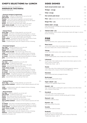### **SIDES DISHES**

| Garlic bread turkish style - [v]                                                                                                                                  | 14.5 |
|-------------------------------------------------------------------------------------------------------------------------------------------------------------------|------|
| Wedges - [v] [g]                                                                                                                                                  | 12.5 |
| Chips- [v] [g]                                                                                                                                                    | 12.5 |
| Hot turkish pide bread                                                                                                                                            | 5.5  |
| <b>Pilav - [v]</b> steamed white rice with pan fried risoni                                                                                                       | 4.5  |
| <b>Bulgur Rice - [v]</b>                                                                                                                                          | 4.5  |
| Coban salad - [v] [g]<br>finely diced tomato, cucumber, red onion & parsley served with a lemon<br>& olive oil dressing                                           | 14.5 |
| Tabouli salad - [v]<br>finely diced green onions, tomato, mint & parsley, mixed with bulgur in a lemon<br>& olive oil dressing.                                   | 13.5 |
| <b>PIDE</b><br><b>Istanbul</b><br>finely minced lamb, onion, capsicum parsley & cheese                                                                            | 24   |
| <b>Meat lovers</b><br>sucuk (turkish salami), finely minced lamb, chicken, onion, capsicum,<br>bbq sauce, cheese with a mixture of fresh herbs                    | 27   |
| <b>Vikings</b><br>tender roast chicken pieces, onion, capsicum & cheese                                                                                           | 24   |
| Gallipoli - [v]<br>chunks of baked potato, onion, cheese with a mixture of fresh herbs                                                                            | 23   |
| <b>Lahmacun</b><br>an open style of the traditional pide minced lamb, tomato, capsicum, onion,<br>with a mixture of fresh herbs<br>*melted tasty cheese - add 1.5 | 25   |
| <b>Hawks</b><br>a semi open style of the traditional pide Turkish pepperoni, capsicum,<br>onion, cheese with a mixture of fresh herbs & BBQ Suace                 | 25   |
| <b>Hawaiian</b><br>sliced smoked beef pieces, pineapple & cheese                                                                                                  | 27   |
| <b>Bushranger</b><br>thinly sliced smoked beef & cheese                                                                                                           | 27   |
| Super sebzeli - [v]<br>a mixture of all vegetable fillings & cheese                                                                                               | 27   |
| Kabakli - [v]<br>baby roasted pumpkin, sautéed garlic, capsicum, tomato, onion, fetta cheese<br>with a mixture of fresh herbs                                     | 23   |

**three dips** - a selection of dips picked for you by the chef **pide bread** - a traditional turkish bread **fasulye** - fresh mixed seasonal vegetables marinated & baked **falafel** - chick peas, parsley & herbs deep fried, served with tabouli **kabak** - grated zucchini mixed with fresh herbs **borek** - fetta cheese, parsley, fresh herbs rolled in filo pastry **chefs choice of pide** - from the full range off the menu **pilav** - steamed fluffy white rice with pan fried risoni

**three dips** - a selection of dips picked for you by the chef **sis kebab** - lamb pieces marinated seasoned & grilled on a skewer **sis tavuk** - chicken pieces marinated seasoned & grilled on a skewer **kofte** - classic ground lamb rolled & lightly spiced & grilled **lamb cutlets** - char-grilled & seasoned with a special blend of herbs **pilav** - steamed fluffy white rice with pan fried risoni **salad** - a traditional green salad with a balsamic & olive oil dressing

**Karadesli** 28

**four dips** - a selection picked for you by the chef **pide bread** - a traditional turkish bread **kabak** - grated zucchini mixed with fresh herbs **chefs choice of pide** - from the full range off the menu **salad** - a traditional green salad with a balsamic & olive oil dressing **sis kebab** - lamb pieces marinated seasoned & grilled on a skewer **sis tavuk** - chicken pieces marinated seasoned & grilled on a skewer **pilav** - steamed fluffy white rice with pan fried risoni

> a semi open style of the traditional pide marinated prawns, mushroom, tomato, parsley, garlic & cheese

**Mantarli - [v]** 23 mushrooms, olives & cheese

**Peynirli - [v]** 23 fetta cheese, spinach & parsley

### **Sucuklu** 25

sucuk (turkish salami) & cheese

#### **Kusbasili** 25

an open style of the traditional pide diced lamb, capsicum, tomato, onion with a mixture of fresh herbs \*melted tasty cheese - add 1.5

### **CHEF'S SELECTIONS for LUNCH**

all banquet selections are designed for a

#### **minimum of two people**,

the price is per person

#### **• Eminent banquet [vegetarian]** 26.5

#### **• Kebab Platter** 33

**sis kebab** - lamb pieces marinated seasoned & grilled on a skewer **sis tavuk** - chicken pieces marinated seasoned & grilled on a skewer **lamb cutlets** - char-grilled & seasoned with a special blend of herbs **chefs choice of pide** - from the full range off the menu **pilav** - steamed fluffy white rice with pan fried risoni **salad** - a traditional green salad with a balsamic & olive oil dressing **baklava** - a dessert recommendation from a fine selection prepared by the pastry chef

#### **• Sovereign banquet** 28.5

#### **• Grand banquet** 35.5

**four dips** - a selection picked for you by the chef **pide bread** - a traditional turkish bread **borek** - fetta cheese, parsley, fresh herbs rolled in filo pastry **kabak** - grated zucchini mixed with fresh herbs **chefs choice of pide** - from the full range off the menu **salad** - a traditional green salad with a balsamic & olive oil dressing **sis kebab** - lamb pieces marinated seasoned & grilled on a skewer **sis tavuk** - chicken pieces marinated seasoned & grilled on a skewer **lamb cutlets** - char-grilled & seasoned with a special blend of herbs **kofte** - classic ground lamb rolled, lightly spiced & grilled **pilav** - steamed fluffy white rice with pan fried risoni

#### **• Seafood Platter** 35.5

**three dips** - a selection of dips picked for you by the chef **char-grilled seafood** - a selection of fresh seafood seasoned with fresh herbs

**salad** - a traditional green salad with a balsamic & olive oil dressing **wedges** - traditional wedges

#### **• Royal banquet** 44.5

**five dips** - a selection picked for you by the chef **pide bread** - a traditional turkish bread **borek** - fetta cheese, parsley, fresh herbs rolled in filo pastry **kabak** - grated zucchini mixed with fresh herbs **dolma** - vine leaves stuffed with rice, onions, garlic, herbs **char-grilled seafood** - a selection of fresh seafood seasoned with fresh herbs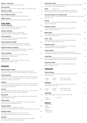| Ananas - [ana-nas]<br>tender roast chicken pieces, pineapple & cheese                                                                                                                                                         | 24   |  |
|-------------------------------------------------------------------------------------------------------------------------------------------------------------------------------------------------------------------------------|------|--|
| <b>Bursa Donner</b><br>Shaved lamb, Capsicum, Onion, Mushroom, BBQ sauce and Tasty cheese.                                                                                                                                    | 24   |  |
| <b>Spinach and Eggs</b><br>Spinach, eggs, Fetta cheese and tasty cheese.                                                                                                                                                      | 23   |  |
| <b>Hot and Spicy Chicken</b><br>Capsicum, Onion, Tomato, Hot spices and Tasty Cheese.                                                                                                                                         | 24   |  |
| <b>Mediterranean</b><br>Eggplant, Pumpkin, Sundried Tomato, Parsley and Tasty Cheese.                                                                                                                                         | 23   |  |
| <b>SALADS</b><br><b>Turkish salad [G]</b><br>chunks of tomato, cucumber, capsicum, olives & feta<br>cheese served with a balsamic dressing.                                                                                   | 16.5 |  |
| <b>Chicken salad [G]</b><br>sliced chicken breast served on a seasonal salad<br>topped with a lemon dressing, Dijon, and cocktail sauce                                                                                       | 23.0 |  |
| Lamb salad [G]<br>sliced tender lamb served on a seasonal salad topped<br>with a Dijon & balsamic dressing                                                                                                                    | 23.0 |  |
| Mixed seafood salad [G]<br>Grilled Calamari, Prawns & Salmon served with a seasonal<br>salad topped with a lemon dressing, Dijon, and cocktail sauce.                                                                         | 25.0 |  |
| <b>Peppered Salmon salad [G]</b><br>Atlantic salmon mixed with parsley & garlic served on a seasonal<br>salad with a lemon dressing, Dijon, and cocktail sauce.                                                               | 24.0 |  |
| <b>Prawn salad [G]</b><br>Grilled Prawns served on a seasonal salad with a lemon<br>dressing, Dijon, and cocktail sauce.                                                                                                      | 24.0 |  |
| Calamari [G]<br>Grilled Calamari served on a seasonal salad with a lemon<br>dressing, Dijon, and cocktail sauce.                                                                                                              | 23.0 |  |
| <b>MAINS</b>                                                                                                                                                                                                                  |      |  |
| <b>Mediterranean salmon</b><br>Ocean fresh salmon marinaded with lemon, tomato, garlic & herbs,<br>wrapped in vine leaves served on seasonal vegetables and a caper sauce.                                                    | 34   |  |
| <b>Istanbul special</b><br>tender chicken breast thinly sliced marinated in chilli, lemon, soy sauce and<br>mixed herbs served on steamed vegetables with a Turkish mint yogurt and<br>butter sauce resting on a bed of rice. | 33   |  |

#### **Kulbasti**

thinly slice lamb and chicken marinated in chilli, lemon, soy sauce and mixed herbs. Served on steamed vegetables with a Turkish mint yogurt and butter sauce resting on a bed of rice.

### **Bon fila** 35.5

succulent lamb fillet smothered in pepper sauce served on a bed of saffron spiced potato mash with a side of seasonal vegetables

### **Mixed Grill** 34

a delightful mixture of sis kebab, sis tavuk, kofte & lamb cutlet. Served with steamed vegetables and rice.

### **Pasha kebab** 33

chicken breast fillet & prawns drizzled with a creamy mushroom sauce served with steamed vegetables and rice.

### **Sultans choice** 32.5

char-grilled chicken breast, filleted served with a

• Lamb • Chicken • Vegetarian

mushroom sauce and topped with a stuffed mushroom served on a bed of rice

### **Uykuluk kebab** 32.5

char grilled lamb, filleted served with a mushroom sauce and topped with a stuffed mushroom served on a bed of rice

### **Iskender** 31.5

thinly shaved spiced lamb layered on grilled pide bread slices topped with garlic yoghurt & turkish tomato salsa sauce

| 24         | <b>Scotch fillet steak</b><br>tender spiced scotch fillet steak grilled to you liking served on a bed of saffron<br>spiced potato mash & steamed vegetables.                | 36.5 |
|------------|-----------------------------------------------------------------------------------------------------------------------------------------------------------------------------|------|
| 24<br>23   | <b>Kofte</b><br>(serving of 5)<br>ground lamb marinated in herbs & spices, grilled and served with a<br>Turkish tomato salsa sauce. Served with steamed vegetables and rice | 30.5 |
| 24         | Sis tavuk chicken or Sis kebab lamb<br>your choice of chicken or lamb marinaded, seasoned & grilled on skewers served                                                       | 32   |
| 23         | with a side of rice                                                                                                                                                         |      |
|            | <b>Pirzola</b><br>lamb cutlets seasoned with a special blend of herbs, char-grilled &<br>served on a bed of rice                                                            | 35.5 |
| 5.5<br>8.0 | <b>Mantarli karades</b><br>six king prawns sautéed with chilli & garlic served with a side of<br>creamy mushroom sauce & rice                                               | 33   |
| 8.0        | <b>Balik izgara</b><br>fish of the day topped with fresh herbs, char-grilled & served with a side of<br>creamy mushroom sauce & rice                                        | 33.5 |
| 5.0        | Guvec - [g]<br>authentic turkish lamb casserole with chunky vegetables topped<br>with melted cheese & baked in the dish                                                     | 29.5 |
| 4.O        | <b>Chicken Cutlets</b><br>Marinated chargrilled tender chicken cutlets serve with seasonal<br>vegetables, Mushroom sauce and bulger rice.                                   | 31.5 |
| 4.0        | <b>Chicken Kofte</b><br>Chicken mince marinated with herbs and spices, grilled and serve<br>with seasonal vegetables, mushroom sauce and saffron spiced mash potato.        | 31.5 |
| 8.0        | <b>Lamb Rack</b><br>Rack of Lamb marinated with blended herbs and spices serve with<br>seasonal vegetables, special sauce and saffron spiced mash potato.                   | 38   |
|            | <b>Ottomans choice</b><br>Tender chicken breast, prawns, salmon, lamb fillets served with a<br>side coban salad and chips.                                                  | 50   |
| 34         | <b>WRAPS</b>                                                                                                                                                                |      |
| 33         | <b>Turkish Wraps</b><br>Freshly baked bread, mixed salad and sauce of your choice served<br>with a side of chips                                                            | 17.5 |
|            | $\bullet$ Lamb<br>•Kofte, Chicken Kofte<br>$\bullet$ Chicken<br>• Falafel<br>$\bullet$ Kabak<br>• Doner (Shaved Lamb)                                                       |      |
| 33         | <b>BURGERS</b><br>Freshly baked turkish roll, mixed salad and sauce of your choice<br>served with a side of chips                                                           | 17.5 |
| こに         | • Chicken<br>•Kofte, Chicken Kofte<br>$\bullet$ Lamb                                                                                                                        |      |

#### **Gozleme** 17.5

Freshly baked gozleme served with a side of mixed salad

• Falafel • Kabak • Doner (Shaved Lamb)

## **Sauce**

- Tomato Sauce,
- BBQ
- Hot Chilli
- Dijon
- Cocktail Sauce
- Garlic Sauce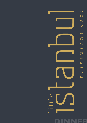





DINNER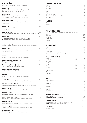# **ENTRÉES**

all entrées available as main meal size upon request

| Kabak - [v]<br>grated zucchini mixed with fresh herbs & eggs deep fried served<br>with garlic yoghurt sauce - four per serve                     | 4    |
|--------------------------------------------------------------------------------------------------------------------------------------------------|------|
| <b>Potato Balls</b><br>Potato, fetta cheese, eggs, breadcrumbs and fresh herbs, deep<br>fried served with garlic yoghurt sauce - four per serve  | 14.5 |
| <b>Kadin budu kofte</b><br>diced mince, rice, parsley & herbs, dipped in fresh eggs & pan frie<br>– four per serve                               | 13.5 |
| Dolma - [v]<br>Preserved vine leaves stuffed with rice, onions, garlic & herbs<br>- 4 per serve                                                  | 13.5 |
| Fasulye - [v] [g]<br>fresh green beans with onion, garlic & herbs served in a tomato based sauce                                                 | 12.0 |
| <b>Borek - [v]</b><br>• Fetta cheese, Parsley and fresh herbs rolled in filo pastry<br>• Lamb mince testy cheese and herbs rolled in filo pastry | 14.5 |
| Kizartma - [v] [g]<br>layers of mixed shallow fried vegetables served in a garlic yoghurt sauce                                                  | 14.5 |
| Falafel - [v]<br>Chickpeas, parsley, herbs fried & served with tabouli, humus &<br>garlic yoghurt sauce<br>- 5 per serve                         | 17.5 |
| <b>MEZE</b><br>including a complementary serving of hot turkish bread                                                                            |      |
| Meze taste platter - [reg] - [v]<br>four dips, two kabak & two borek - extra pieces available upon request                                       | 23.5 |
| Meze taste platter - [med]<br>five dips, two kabak, & two kadin budu kofte                                                                       | 27.5 |
| Meze taste platter - [large]<br>six dips, two kabak, two kadin budu kofte & two borek                                                            | 33.5 |
| <b>DIPS</b><br>including a complementary serving of hot turkish bread                                                                            |      |
| <b>Trio of dips</b><br>your choice of three specialty dips to sample from the range below                                                        | 18.5 |
| Tzatziki or Cacik - [v] [g]<br>cucumber, garlic, mint & homemade yoghurt with fresh garden herbs                                                 | 9.5  |
| <b>Havuc - [v] [g]</b><br>carrot, garlic, mint & homemade yoghurt with fresh garden herbs                                                        | 9.5  |

**Humus - [v] [g]** 9.5 chickpeas, tahini, garlic, lemon & olive oil with fresh garden herbs

**Baba – ghanoush - [v] [g]** 9.5 eggplant, garlic & homemade yoghurt with fresh garden herbs

**Ispanak - [v] [g]** 9.5 Spinach, garlic & homemade yoghurt with fresh garden herbs

**Pancar - [v] [g]** 9.5 beetroot, garlic & homemade yoghurt with fresh garden herbs

**Biber ezmesi - [v]** 9.5 fresh chilli, red peppers & olive oil mixed with breadcrumbs & walnuts

### **KIDS MENU** (AGES 0-13) **Chips [V,G]** 5 **Chicken Nuggets - (8pieces)** 8.5

**Kids Pide -** 10.50 (Selection on p2)

## **COLD DRINKS**

| 4              |
|----------------|
| 4              |
| $\overline{4}$ |
| $\overline{4}$ |
| $\overline{4}$ |
| $\overline{4}$ |
| $\overline{4}$ |
| $\overline{4}$ |
| $\overline{4}$ |
|                |

### **JUICE**

| Orange    |   |
|-----------|---|
| Pineapple | 4 |
| Apple     | 4 |

### **MILKDRINKS**

|               | Chocolate, Caramel, Vanilla, Strawberry, Banana, Lime |     |
|---------------|-------------------------------------------------------|-----|
| Milkshake     |                                                       | 6.5 |
| Thick Shake   |                                                       | 6.5 |
| Ice Coffee    |                                                       | 6.5 |
| Ice Chocolate |                                                       | 6   |
| Ice Latte     |                                                       |     |

# **ADD ONS**

| Oat                                       | .50 |
|-------------------------------------------|-----|
| Soy                                       | .50 |
| Almond                                    | .50 |
| Lactose free                              | .50 |
| Syrup - Vanilla, Caramel, Hazelnut, Honey | .50 |

# **HOT DRINKS**

| Espresso              | 3.5            | $\overline{4}$ |
|-----------------------|----------------|----------------|
| Long Black            | 3.5            | $\overline{4}$ |
| Macchiato             | 3.5            |                |
| Long Macchiato        | $\overline{4}$ |                |
| Affogato              | 4              | 4.5            |
| Cappuccino            | 3.5            | $\overline{4}$ |
| Flat white            | 3.5            | $\overline{4}$ |
| Latte                 | 3.5            | $\overline{4}$ |
| <b>Turkish Coffee</b> | 3.5            |                |
| Mocha                 |                | 4.5            |
| Chai Latte            |                | 4.5            |
|                       |                |                |

### **TEA**

| ▌▐▁▛▜               |                |
|---------------------|----------------|
| English Breakfast   | 4              |
| Earl Grey           | 4              |
| Chamomile           | 4              |
| Green Tea Sencha    | $\overline{4}$ |
| Apple Tea           | $\overline{4}$ |
| Lemongrass & Ginger | $\overline{4}$ |
| Chai Tea            | 4              |
| Peppermint Tea      | 4              |
|                     |                |

#### **Toddlers Choice -** 10.50

A chicken, lamb or kofte skewer with a choice of a side. **Sides:** Seasonal Vegs, Rice, Chips or Salad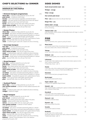## **SIDES DISHES**

| Garlic bread turkish style - [v]                                                                                                                                  | 14.5 |
|-------------------------------------------------------------------------------------------------------------------------------------------------------------------|------|
| Wedges - [v] [g]                                                                                                                                                  | 12.5 |
| Chips- [v] [g]                                                                                                                                                    | 12.5 |
| Hot turkish pide bread                                                                                                                                            | 5.5  |
| <b>Pilav - [v]</b> steamed white rice with pan fried risoni                                                                                                       | 4.5  |
| <b>Bulgur Rice - [v]</b>                                                                                                                                          | 4.5  |
| Coban salad - [v] [g]<br>finely diced tomato, cucumber, red onion & parsley served with a lemon<br>& olive oil dressing                                           | 14.5 |
| Tabouli salad - [v]<br>finely diced green onions, tomato, mint & parsley, mixed with bulgur in a lemon<br>& olive oil dressing.                                   | 13.5 |
| <b>PIDE</b><br><b>Istanbul</b><br>finely minced lamb, onion, capsicum parsley & cheese                                                                            | 24   |
| <b>Meat lovers</b><br>sucuk (turkish salami), finely minced lamb, chicken, onion, capsicum,<br>bbq sauce, cheese with a mixture of fresh herbs                    | 27   |
| <b>Vikings</b><br>tender roast chicken pieces, onion, capsicum & cheese                                                                                           | 24   |
| Gallipoli - [v]<br>chunks of baked potato, onion, cheese with a mixture of fresh herbs                                                                            | 23   |
| <b>Lahmacun</b><br>an open style of the traditional pide minced lamb, tomato, capsicum, onion,<br>with a mixture of fresh herbs<br>*melted tasty cheese - add 1.5 | 25   |
| <b>Hawks</b><br>a semi open style of the traditional pide Turkish pepperoni, capsicum,<br>onion, cheese with a mixture of fresh herbs & BBQ Suace                 | 25   |
| <b>Hawaiian</b><br>sliced smoked beef pieces, pineapple & cheese                                                                                                  | 27   |
| <b>Bushranger</b><br>thinly sliced smoked beef & cheese                                                                                                           | 27   |
| Super sebzeli - [v]<br>a mixture of all vegetable fillings & cheese                                                                                               | 27   |
| Kabakli - [v]<br>baby roasted pumpkin, sautéed garlic, capsicum, tomato, onion, fetta cheese<br>with a mixture of fresh herbs                                     | 23   |

### **• Royal banquet 48.5**

**three dips** - a selection of dips picked for you by the chef **pide bread** - a traditional turkish bread **fasulye** - fresh mixed seasonal vegetables marinated & baked **falafel** - chick peas, parsley & herbs deep fried, served with tabouli **kabak** - grated zucchini mixed with fresh herbs **borek** - fetta cheese, parsley, fresh herbs rolled in filo pastry **chefs choice of pide** - from the full range off the menu **pilav** - steamed fluffy white rice with pan fried risoni

### • Kebab Platter **34**

**three dips** - a selection of dips picked for you by the che **sis kebab** - lamb pieces marinated seasoned & grilled on a skewer **sis tavuk** - chicken pieces marinated seasoned & grilled on a skewer **kofte** - classic ground lamb rolled & lightly spiced & grilled **lamb cutlets** - char-grilled & seasoned with a special blend of herbs **pilav** - steamed fluffy white rice with pan fried risoni **salad** - a traditional green salad with a balsamic & olive oil dressing

### **• Sovereign banquet 16.5** and **36.5**

**four dips** - a selection picked for you by the chef **pide bread** - a traditional turkish bread **kabak** - grated zucchini mixed with fresh herbs **chefs choice of pide** - from the full range off the menu **salad** - a traditional green salad with a balsamic & olive oil dressing **sis kebab** - lamb pieces marinated seasoned & grilled on a skewer **sis tavuk** - chicken pieces marinated seasoned & grilled on a skewer **pilav** - steamed fluffy white rice with pan fried risoni

### **• Grand banquet 1.5**

**four dips** - a selection picked for you by the chef **pide bread** - a traditional turkish bread **borek** - fetta cheese, parsley, fresh herbs rolled in filo pastry **kabak** - grated zucchini mixed with fresh herbs **chefs choice of pide** - from the full range off the menu **salad** - a traditional green salad with a balsamic & olive oil dressing **sis kebab** - lamb pieces marinated seasoned & grilled on a skewer **sis tavuk** - chicken pieces marinated seasoned & grilled on a skewer **lamb cutlets** - char-grilled & seasoned with a special blend of herbs **kofte** - classic ground lamb rolled, lightly spiced & grilled **pilav** - steamed fluffy white rice with pan fried risoni

**Karadesli** 28

a semi open style of the traditional pide marinated prawns, mushroom, tomato, parsley, garlic & cheese

**Mantarli - [v]** 23 mushrooms, olives & cheese

**Peynirli - [v]** 23 fetta cheese, spinach & parsley

### **Sucuklu** 25

sucuk (turkish salami) & cheese

### **Kusbasili** 25

an open style of the traditional pide diced lamb, capsicum, tomato, onion with a mixture of fresh herbs \*melted tasty cheese - add 1.5

## **CHEF'S SELECTIONS for DINNER**

all banquet selections are designed for a

### **minimum of two people**,

the price is per person

### **• Eminent banquet [vegetarian]** 29.5

**salad** - a traditional green salad with a balsamic & olive oil dressing **wedges** - traditional wedges

**five dips** - a selection picked for you by the chef **pide bread** - a traditional turkish bread **borek** - fetta cheese, parsley, fresh herbs rolled in filo pastry **kabak** - grated zucchini mixed with fresh herbs **dolma** - vine leaves stuffed with rice, onions, garlic, herbs **char-grilled seafood** - a selection of fresh seafood seasoned with fresh herbs

**sis kebab** - lamb pieces marinated seasoned & grilled on a skewer **sis tavuk** - chicken pieces marinated seasoned & grilled on a skewer **lamb cutlets** - char-grilled & seasoned with a special blend of herbs **chefs choice of pide** - from the full range off the menu **pilav** - steamed fluffy white rice with pan fried risoni **salad** - a traditional green salad with a balsamic & olive oil dressing **baklava** - a dessert recommendation from a fine selection prepared by the pastry chef

### **• Seafood Platter** 37.5

**three dips** - a selection of dips picked for you by the chef **char-grilled seafood** - a selection of fresh seafood seasoned with fresh herbs